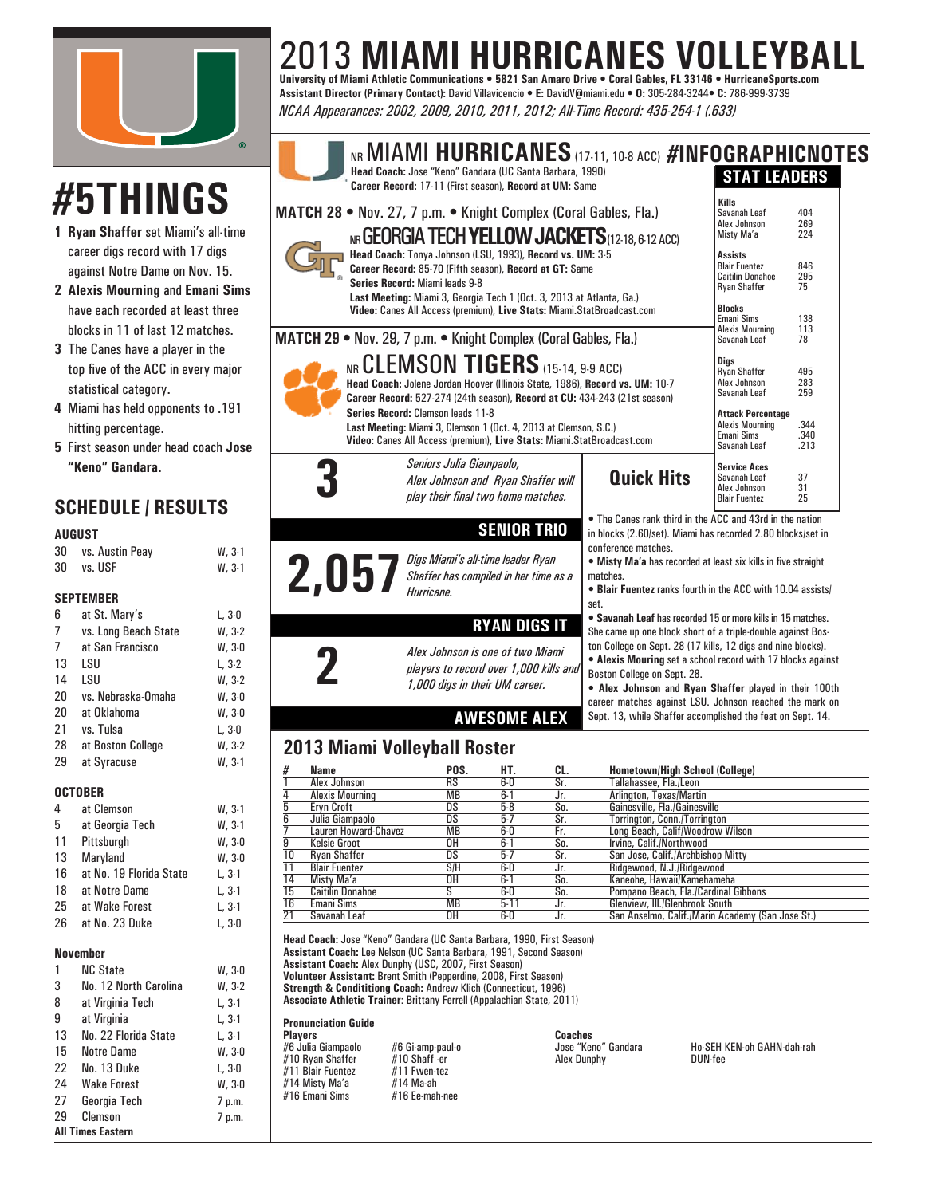

# 2013 **MIAMI HURRICANES VOLLEYBALL University of Miami Athletic Communications • 5821 San Amaro Drive • Coral Gables, FL 33146 • HurricaneSports.com**

**Assistant Director (Primary Contact):** David Villavicencio **• E:** DavidV@miami.edu **• O:** 305-284-3244**• C:** 786-999-3739 *NCAA Appearances: 2002, 2009, 2010, 2011, 2012; All-Time Record: 435-254-1 (.633)*

# **#5THINGS**

- **1 Ryan Shaffer** set Miami's all-time career digs record with 17 digs against Notre Dame on Nov. 15.
- **2 Alexis Mourning** and **Emani Sims** have each recorded at least three blocks in 11 of last 12 matches.
- **3** The Canes have a player in the top five of the ACC in every major statistical category.
- **4** Miami has held opponents to .191 hitting percentage.
- **5** First season under head coach **Jose "Keno" Gandara.**

# **SCHEDULE / RESULTS**

### **AUGUST**

| 30 | vs. Austin Peay | $W.3-1$  |
|----|-----------------|----------|
| 30 | vs. USF         | $W, 3-1$ |

### **SEPTEMBER**

| 6  | at St. Mary's        | L, 3-0   |
|----|----------------------|----------|
| 7  | vs. Long Beach State | $W, 3-2$ |
| 7  | at San Francisco     | W.30     |
| 13 | LSU                  | L. 3-2   |
| 14 | LSU                  | $W, 3-2$ |
| 20 | vs. Nebraska-Omaha   | W.30     |
| 20 | at Oklahoma          | W.30     |
| 21 | vs. Tulsa            | L, 3-0   |
| 28 | at Boston College    | $W, 3-2$ |
| 29 | at Syracuse          | $W.3-1$  |
|    |                      |          |

## **OCTOBER**

4 at Clemson W, 3-1 5 at Georgia Tech W, 3-1 11 Pittsburgh W, 3-0 13 Maryland W, 3-0 16 at No. 19 Florida State L, 3-1 18 at Notre Dame L, 3-1 25 at Wake Forest L, 3-1 26 at No. 23 Duke L, 3-0

### **November**

|    | <b>NC State</b>          | W.30     |
|----|--------------------------|----------|
| 3  | No. 12 North Carolina    | W, 3-2   |
| 8  | at Virginia Tech         | $L, 3-1$ |
| 9  | at Virginia              | $L, 3-1$ |
| 13 | No. 22 Florida State     | L, 3-1   |
| 15 | Notre Dame               | W, 3-0   |
| 22 | No. 13 Duke              | L, 3-0   |
| 24 | <b>Wake Forest</b>       | W, 3-0   |
| 27 | Georgia Tech             | 7 p.m.   |
| 29 | Clemson                  | 7 p.m.   |
|    | <b>All Times Eastern</b> |          |

| IVLAA AJJJEBIBIILES. ZUUZ, ZUUJ, ZUTU, ZUTT, ZUTZ, AII-TIIIIE NELVIU. 4JJ-ZJ4-T (.UJJ)                                                                                                                                                                                                                                                                                                                                                                 |                                                                                                                                                                                                                                                                                                    |                                                                             |                |
|--------------------------------------------------------------------------------------------------------------------------------------------------------------------------------------------------------------------------------------------------------------------------------------------------------------------------------------------------------------------------------------------------------------------------------------------------------|----------------------------------------------------------------------------------------------------------------------------------------------------------------------------------------------------------------------------------------------------------------------------------------------------|-----------------------------------------------------------------------------|----------------|
| NR MIAMI HURRICANES (17-11, 10-8 ACC) #INFOGRAPHICNOTES<br>Head Coach: Jose "Keno" Gandara (UC Santa Barbara, 1990)<br>Career Record: 17-11 (First season), Record at UM: Same                                                                                                                                                                                                                                                                         |                                                                                                                                                                                                                                                                                                    | <b>STAT LEADERS</b>                                                         |                |
| MATCH 28 . Nov. 27, 7 p.m. • Knight Complex (Coral Gables, Fla.)<br>NR GEORGIA TECH YELLOW JACKETS (12-18, 6-12 ACC)<br>Head Coach: Tonya Johnson (LSU, 1993), Record vs. UM: 3-5<br>Career Record: 85-70 (Fifth season), Record at GT: Same<br>Series Record: Miami leads 9-8<br>Last Meeting: Miami 3, Georgia Tech 1 (Oct. 3, 2013 at Atlanta, Ga.)<br>Video: Canes All Access (premium), Live Stats: Miami.StatBroadcast.com                       | <b>Kills</b><br>Savanah Leaf<br>Alex Johnson<br>Misty Ma'a<br><b>Assists</b><br><b>Blair Fuentez</b><br><b>Caitilin Donahoe</b><br><b>Ryan Shaffer</b><br><b>Blocks</b><br>Emani Sims                                                                                                              | 404<br>269<br>224<br>846<br>295<br>75<br>138                                |                |
| MATCH 29 . Nov. 29, 7 p.m. . Knight Complex (Coral Gables, Fla.)<br>NR CLEMSON TIGERS (15-14, 9-9 ACC)<br>Head Coach: Jolene Jordan Hoover (Illinois State, 1986), Record vs. UM: 10-7<br>Career Record: 527-274 (24th season), Record at CU: 434-243 (21st season)<br>Series Record: Clemson leads 11-8<br>Last Meeting: Miami 3, Clemson 1 (Oct. 4, 2013 at Clemson, S.C.)<br>Video: Canes All Access (premium), Live Stats: Miami.StatBroadcast.com | <b>Alexis Mourning</b><br>Savanah Leaf<br><b>Digs</b><br><b>Rvan Shaffer</b><br>Alex Johnson<br>Savanah Leaf<br><b>Attack Percentage</b><br><b>Alexis Mourning</b><br><b>Emani Sims</b><br>Savanah Leaf                                                                                            | 113<br>78<br>495<br>283<br>259<br>.344<br>.340<br>.213                      |                |
| Seniors Julia Giampaolo,<br>Alex Johnson and Ryan Shaffer will<br>play their final two home matches.                                                                                                                                                                                                                                                                                                                                                   | <b>Quick Hits</b>                                                                                                                                                                                                                                                                                  | <b>Service Aces</b><br>Savanah Leaf<br>Alex Johnson<br><b>Blair Fuentez</b> | 37<br>31<br>25 |
| <b>SENIOR TRIO</b><br>Digs Miami's all-time leader Ryan<br>Shaffer has compiled in her time as a<br>Hurricane.                                                                                                                                                                                                                                                                                                                                         | • The Canes rank third in the ACC and 43rd in the nation<br>in blocks (2.60/set). Miami has recorded 2.80 blocks/set in<br>conference matches.<br>. Misty Ma'a has recorded at least six kills in five straight<br>matches.<br>• Blair Fuentez ranks fourth in the ACC with 10.04 assists/<br>set. |                                                                             |                |

## **RYAN DIGS IT**

**AWESOME ALEX**

**2** *Alex Johnson is one of two Miami players to record over 1,000 kills and 1,000 digs in their UM career.*

• **Savanah Leaf** has recorded 15 or more kills in 15 matches. She came up one block short of a triple-double against Boston College on Sept. 28 (17 kills, 12 digs and nine blocks). *•* **Alexis Mouring** set a school record with 17 blocks against Boston College on Sept. 28. • **Alex Johnson** and **Ryan Shaffer** played in their 100th

career matches against LSU. Johnson reached the mark on Sept. 13, while Shaffer accomplished the feat on Sept. 14.

## **2013 Miami Volleyball Roster**

| Pompano Beach, Fla./Cardinal Gibbons             |
|--------------------------------------------------|
|                                                  |
| San Anselmo, Calif./Marin Academy (San Jose St.) |
|                                                  |
|                                                  |

**Head Coach:** Jose "Keno" Gandara (UC Santa Barbara, 1990, First Season) **Assistant Coach:** Lee Nelson (UC Santa Barbara, 1991, Second Season) **Assistant Coach:** Alex Dunphy (USC, 2007, First Season) **Volunteer Assistant:** Brent Smith (Pepperdine, 2008, First Season) **Strength & Condititiong Coach:** Andrew Klich (Connecticut, 1996) **Associate Athletic Trainer**: Brittany Ferrell (Appalachian State, 2011)

**Pronunciation Guide**

**Marking Property Constrainer:**<br>
#6 Gi-amp-paul-o<br>
#10 Shaff -er<br>
#11 Fwen-tez<br>
#14 Ma-ah, #10 Ryan Shaffer #10 Shaff -er<br>#11 Blair Fuentez #11 Fwen-tez #11 Blair Fuentez #11 Fwen-t#<br>#14 Misty Ma'a #14 Ma-ah #14 Misty Ma'a #14 Ma-ah  $#16$  Emani Sims

**Players Coaches**

#6 Julia Giampaolo #6 Gi-amp-paul-o Jose "Keno" Gandara Ho-SEH KEN-oh GAHN-dah-rah